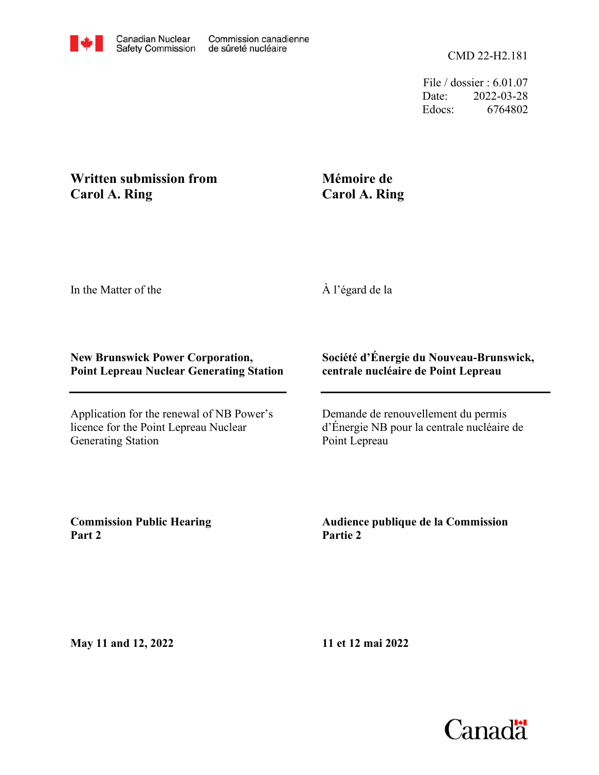File / dossier : 6.01.07 Date: 2022-03-28 Edocs: 6764802

## **Written submission from Carol A. Ring**

## **Mémoire de Carol A. Ring**

In the Matter of the

À l'égard de la

## **New Brunswick Power Corporation, Point Lepreau Nuclear Generating Station**

Application for the renewal of NB Power's licence for the Point Lepreau Nuclear Generating Station

## **Société d'Énergie du Nouveau-Brunswick, centrale nucléaire de Point Lepreau**

Demande de renouvellement du permis d'Énergie NB pour la centrale nucléaire de Point Lepreau

**Commission Public Hearing Part 2**

**Audience publique de la Commission Partie 2**

**May 11 and 12, 2022**

**11 et 12 mai 2022**